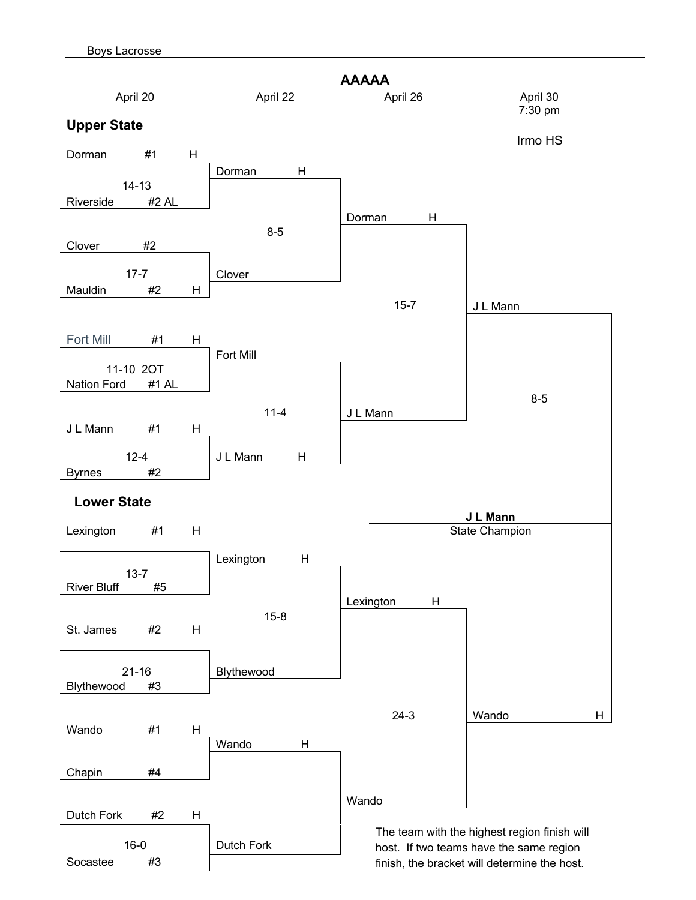

finish, the bracket will determine the host.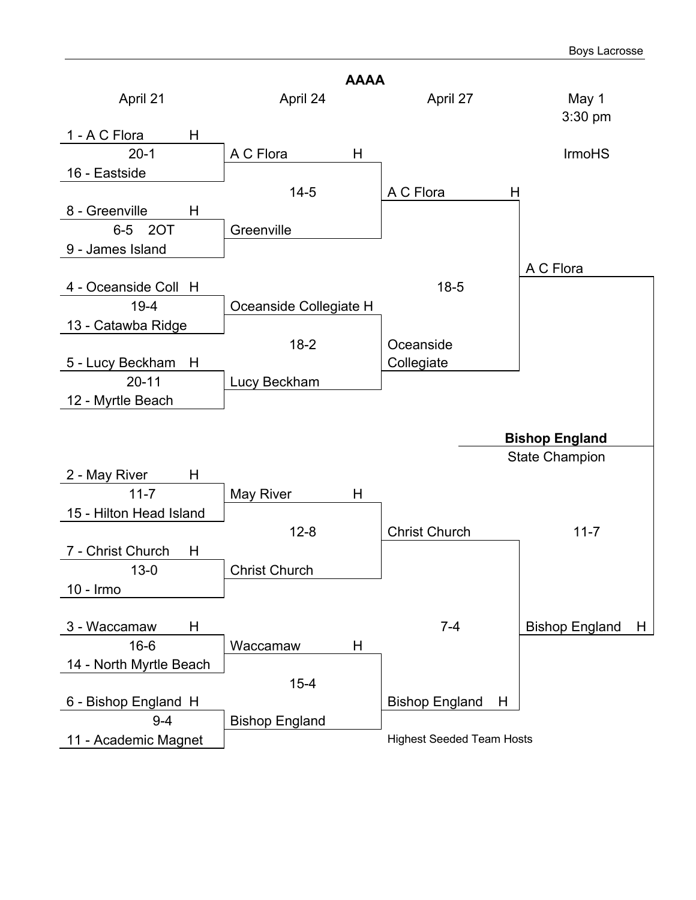|                                 | <b>AAAA</b>            |                                  |                            |
|---------------------------------|------------------------|----------------------------------|----------------------------|
| April 21                        | April 24               | April 27                         | May 1<br>3:30 pm           |
| 1 - A C Flora<br>H              |                        |                                  |                            |
| $20 - 1$                        | A C Flora<br>Η         |                                  | <b>IrmoHS</b>              |
| 16 - Eastside                   |                        |                                  |                            |
|                                 | $14 - 5$               | A C Flora<br>H                   |                            |
| 8 - Greenville<br>Н             |                        |                                  |                            |
| 6-5 2OT                         | Greenville             |                                  |                            |
| 9 - James Island                |                        |                                  |                            |
|                                 |                        |                                  | A C Flora                  |
| 4 - Oceanside Coll H            |                        | $18 - 5$                         |                            |
| $19 - 4$                        | Oceanside Collegiate H |                                  |                            |
| 13 - Catawba Ridge              |                        |                                  |                            |
|                                 | $18-2$                 | Oceanside                        |                            |
| 5 - Lucy Beckham<br>H           |                        | Collegiate                       |                            |
| $20 - 11$                       | Lucy Beckham           |                                  |                            |
| 12 - Myrtle Beach               |                        |                                  |                            |
|                                 |                        |                                  |                            |
|                                 |                        |                                  | <b>Bishop England</b>      |
|                                 |                        |                                  | <b>State Champion</b>      |
| 2 - May River<br>Н              |                        |                                  |                            |
| $11 - 7$                        | Η<br>May River         |                                  |                            |
| 15 - Hilton Head Island         |                        |                                  |                            |
|                                 | $12 - 8$               | <b>Christ Church</b>             | $11 - 7$                   |
| 7 - Christ Church<br>H          |                        |                                  |                            |
| $13 - 0$                        | <b>Christ Church</b>   |                                  |                            |
| 10 - Irmo                       |                        |                                  |                            |
|                                 |                        | $7 - 4$                          |                            |
| 3 - Waccamaw<br>Н<br>$16 - 6$   |                        |                                  | <b>Bishop England</b><br>H |
|                                 | Η<br>Waccamaw          |                                  |                            |
| 14 - North Myrtle Beach         |                        |                                  |                            |
|                                 | $15 - 4$               | Н                                |                            |
| 6 - Bishop England H<br>$9 - 4$ |                        | <b>Bishop England</b>            |                            |
| 11 - Academic Magnet            | <b>Bishop England</b>  | <b>Highest Seeded Team Hosts</b> |                            |
|                                 |                        |                                  |                            |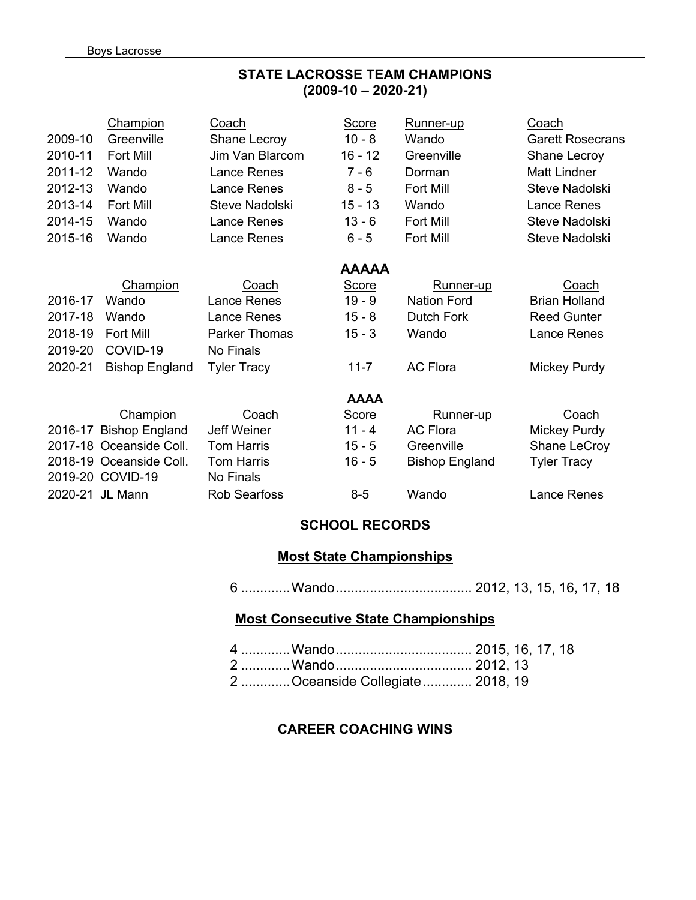### **STATE LACROSSE TEAM CHAMPIONS (2009-10 – 2020-21)**

|         | <b>Champion</b>         | Coach                | <b>Score</b> | <u>Runner-up</u>      | Coach                   |
|---------|-------------------------|----------------------|--------------|-----------------------|-------------------------|
| 2009-10 | Greenville              | Shane Lecroy         | $10 - 8$     | Wando                 | <b>Garett Rosecrans</b> |
| 2010-11 | Fort Mill               | Jim Van Blarcom      | $16 - 12$    | Greenville            | Shane Lecroy            |
| 2011-12 | Wando                   | <b>Lance Renes</b>   | $7 - 6$      | Dorman                | <b>Matt Lindner</b>     |
| 2012-13 | Wando                   | Lance Renes          | $8 - 5$      | Fort Mill             | Steve Nadolski          |
| 2013-14 | Fort Mill               | Steve Nadolski       | $15 - 13$    | Wando                 | Lance Renes             |
| 2014-15 | Wando                   | <b>Lance Renes</b>   | $13 - 6$     | Fort Mill             | Steve Nadolski          |
| 2015-16 | Wando                   | <b>Lance Renes</b>   | $6 - 5$      | Fort Mill             | Steve Nadolski          |
|         |                         |                      | <b>AAAAA</b> |                       |                         |
|         | Champion                | Coach                | Score        | Runner-up             | Coach                   |
| 2016-17 | Wando                   | Lance Renes          | $19 - 9$     | <b>Nation Ford</b>    | <b>Brian Holland</b>    |
| 2017-18 | Wando                   | Lance Renes          | $15 - 8$     | Dutch Fork            | <b>Reed Gunter</b>      |
| 2018-19 | <b>Fort Mill</b>        | <b>Parker Thomas</b> | $15 - 3$     | Wando                 | Lance Renes             |
| 2019-20 | COVID-19                | No Finals            |              |                       |                         |
| 2020-21 | <b>Bishop England</b>   | <b>Tyler Tracy</b>   | $11 - 7$     | <b>AC Flora</b>       | Mickey Purdy            |
|         |                         |                      | <b>AAAA</b>  |                       |                         |
|         | Champion                | Coach                | <b>Score</b> | Runner-up             | Coach                   |
| 2016-17 | <b>Bishop England</b>   | <b>Jeff Weiner</b>   | $11 - 4$     | <b>AC Flora</b>       | Mickey Purdy            |
|         | 2017-18 Oceanside Coll. | <b>Tom Harris</b>    | $15 - 5$     | Greenville            | Shane LeCroy            |
|         | 2018-19 Oceanside Coll. | <b>Tom Harris</b>    | $16 - 5$     | <b>Bishop England</b> | <b>Tyler Tracy</b>      |
|         | 2019-20 COVID-19        | No Finals            |              |                       |                         |
|         | 2020-21 JL Mann         | <b>Rob Searfoss</b>  | $8-5$        | Wando                 | Lance Renes             |

#### **SCHOOL RECORDS**

#### **Most State Championships**

6 .............Wando.................................... 2012, 13, 15, 16, 17, 18

#### **Most Consecutive State Championships**

| 2 Oceanside Collegiate  2018, 19 |  |  |
|----------------------------------|--|--|

### **CAREER COACHING WINS**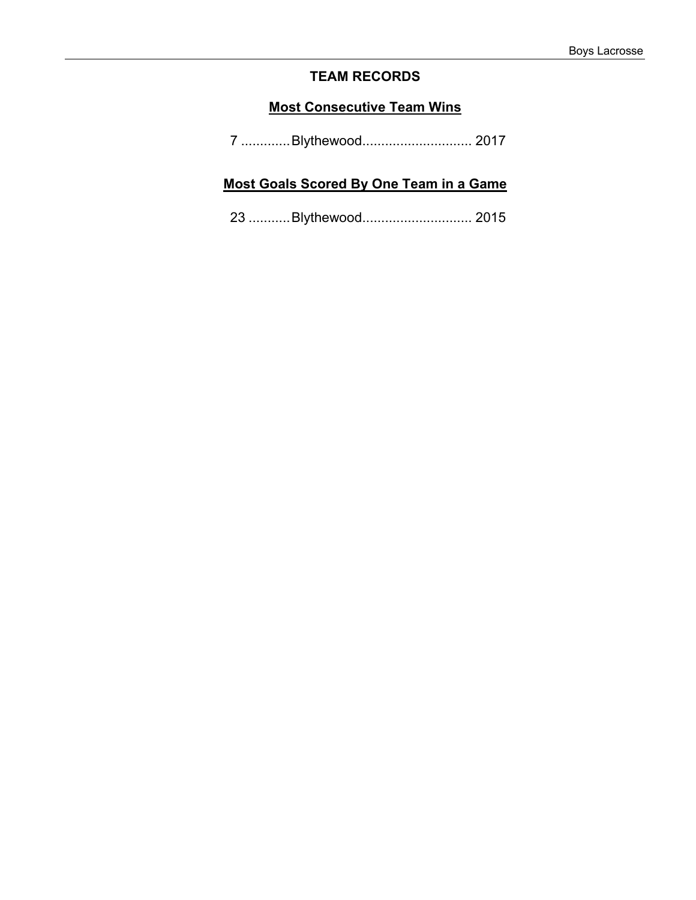## **TEAM RECORDS**

### **Most Consecutive Team Wins**

| 7 Blythewood 2017 |
|-------------------|
|-------------------|

## **Most Goals Scored By One Team in a Game**

23 ...........Blythewood............................. 2015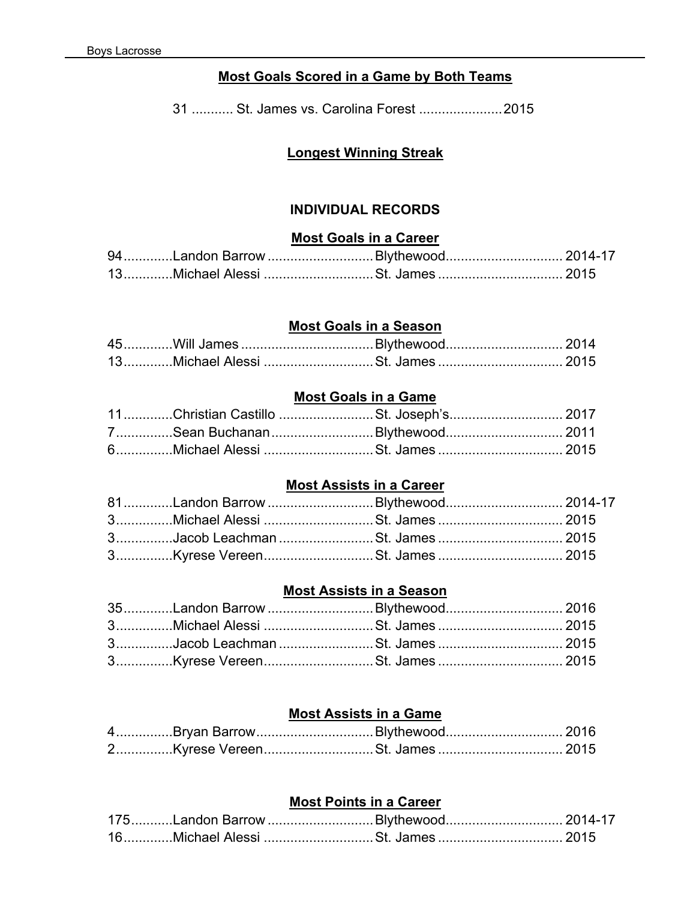## **Most Goals Scored in a Game by Both Teams**

31 ........... St. James vs. Carolina Forest ......................2015

# **Longest Winning Streak**

### **INDIVIDUAL RECORDS**

#### **Most Goals in a Career**

| 94 Landon Barrow Blythewood 2014-17 |  |
|-------------------------------------|--|
|                                     |  |

### **Most Goals in a Season**

#### **Most Goals in a Game**

|  | 11Christian Castillo St. Joseph's 2017 |  |
|--|----------------------------------------|--|
|  | 7Sean BuchananBlythewood 2011          |  |
|  | 6Michael Alessi St. James  2015        |  |

#### **Most Assists in a Career**

| 81Landon Barrow Blythewood 2014-17 |  |
|------------------------------------|--|
|                                    |  |
|                                    |  |
|                                    |  |

### **Most Assists in a Season**

| 35Landon Barrow Blythewood 2016 |  |
|---------------------------------|--|
|                                 |  |
|                                 |  |
|                                 |  |

#### **Most Assists in a Game**

| 4Bryan BarrowBlythewood 2016 |  |
|------------------------------|--|
|                              |  |

## **Most Points in a Career**

| 175Landon Barrow Blythewood 2014-17 |  |
|-------------------------------------|--|
|                                     |  |